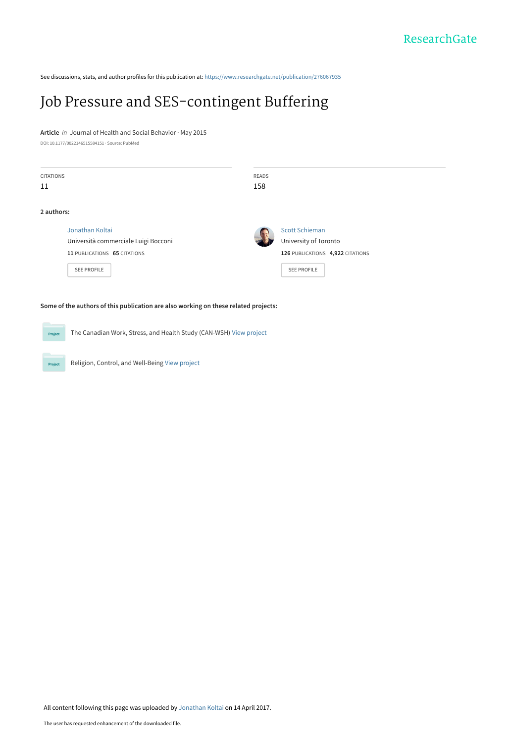See discussions, stats, and author profiles for this publication at: [https://www.researchgate.net/publication/276067935](https://www.researchgate.net/publication/276067935_Job_Pressure_and_SES-contingent_Buffering?enrichId=rgreq-c4ab6ce451ed45e35dd54c4fa0d50e99-XXX&enrichSource=Y292ZXJQYWdlOzI3NjA2NzkzNTtBUzo0ODMwNzEyMjE4NjY0OTZAMTQ5MjE4NDU2MjM5OA%3D%3D&el=1_x_2&_esc=publicationCoverPdf)

## [Job Pressure and SES-contingent Buffering](https://www.researchgate.net/publication/276067935_Job_Pressure_and_SES-contingent_Buffering?enrichId=rgreq-c4ab6ce451ed45e35dd54c4fa0d50e99-XXX&enrichSource=Y292ZXJQYWdlOzI3NjA2NzkzNTtBUzo0ODMwNzEyMjE4NjY0OTZAMTQ5MjE4NDU2MjM5OA%3D%3D&el=1_x_3&_esc=publicationCoverPdf)

**Article** in Journal of Health and Social Behavior · May 2015

DOI: 10.1177/0022146515584151 · Source: PubMed

| <b>CITATIONS</b>                     | READS                            |
|--------------------------------------|----------------------------------|
| 11                                   | 158                              |
| 2 authors:                           |                                  |
|                                      |                                  |
| Jonathan Koltai                      | <b>Scott Schieman</b>            |
| Università commerciale Luigi Bocconi | University of Toronto            |
| 11 PUBLICATIONS 65 CITATIONS         | 126 PUBLICATIONS 4,922 CITATIONS |
| <b>SEE PROFILE</b>                   | SEE PROFILE                      |
|                                      |                                  |
|                                      |                                  |

**Some of the authors of this publication are also working on these related projects:**

The Canadian Work, Stress, and Health Study (CAN-WSH) [View project](https://www.researchgate.net/project/The-Canadian-Work-Stress-and-Health-Study-CAN-WSH?enrichId=rgreq-c4ab6ce451ed45e35dd54c4fa0d50e99-XXX&enrichSource=Y292ZXJQYWdlOzI3NjA2NzkzNTtBUzo0ODMwNzEyMjE4NjY0OTZAMTQ5MjE4NDU2MjM5OA%3D%3D&el=1_x_9&_esc=publicationCoverPdf) **Project** 

Religion, Control, and Well-Being [View project](https://www.researchgate.net/project/Religion-Control-and-Well-Being?enrichId=rgreq-c4ab6ce451ed45e35dd54c4fa0d50e99-XXX&enrichSource=Y292ZXJQYWdlOzI3NjA2NzkzNTtBUzo0ODMwNzEyMjE4NjY0OTZAMTQ5MjE4NDU2MjM5OA%3D%3D&el=1_x_9&_esc=publicationCoverPdf)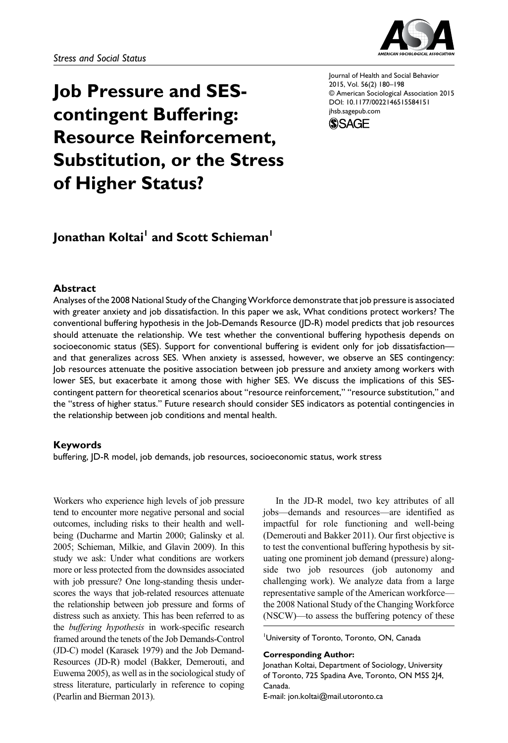

# **Job Pressure and SEScontingent Buffering: Resource Reinforcement, Substitution, or the Stress of Higher Status?**

Journal of Health and Social Behavior 2015, Vol. 56(2) 180–198 © American Sociological Association 2015 DOI: 10.1177/0022146515584151 jhsb.sagepub.com



## **Jonathan Koltai** $^{\mathsf{I}}$  **and Scott Schieman** $^{\mathsf{I}}$

#### **Abstract**

Analyses of the 2008 National Study of the Changing Workforce demonstrate that job pressure is associated with greater anxiety and job dissatisfaction. In this paper we ask, What conditions protect workers? The conventional buffering hypothesis in the Job-Demands Resource (JD-R) model predicts that job resources should attenuate the relationship. We test whether the conventional buffering hypothesis depends on socioeconomic status (SES). Support for conventional buffering is evident only for job dissatisfaction and that generalizes across SES. When anxiety is assessed, however, we observe an SES contingency: Job resources attenuate the positive association between job pressure and anxiety among workers with lower SES, but exacerbate it among those with higher SES. We discuss the implications of this SEScontingent pattern for theoretical scenarios about "resource reinforcement," "resource substitution," and the "stress of higher status." Future research should consider SES indicators as potential contingencies in the relationship between job conditions and mental health.

#### **Keywords**

buffering, JD-R model, job demands, job resources, socioeconomic status, work stress

Workers who experience high levels of job pressure tend to encounter more negative personal and social outcomes, including risks to their health and wellbeing (Ducharme and Martin 2000; Galinsky et al. 2005; Schieman, Milkie, and Glavin 2009). In this study we ask: Under what conditions are workers more or less protected from the downsides associated with job pressure? One long-standing thesis underscores the ways that job-related resources attenuate the relationship between job pressure and forms of distress such as anxiety. This has been referred to as the *buffering hypothesis* in work-specific research framed around the tenets of the Job Demands-Control (JD-C) model (Karasek 1979) and the Job Demand-Resources (JD-R) model (Bakker, Demerouti, and Euwema 2005), as well as in the sociological study of stress literature, particularly in reference to coping (Pearlin and Bierman 2013).

In the JD-R model, two key attributes of all jobs—demands and resources—are identified as impactful for role functioning and well-being (Demerouti and Bakker 2011). Our first objective is to test the conventional buffering hypothesis by situating one prominent job demand (pressure) alongside two job resources (job autonomy and challenging work). We analyze data from a large representative sample of the American workforce the 2008 National Study of the Changing Workforce (NSCW)—to assess the buffering potency of these

University of Toronto, Toronto, ON, Canada

**Corresponding Author:**

Jonathan Koltai, Department of Sociology, University of Toronto, 725 Spadina Ave, Toronto, ON M5S 2J4, Canada. E-mail: jon.koltai@mail.utoronto.ca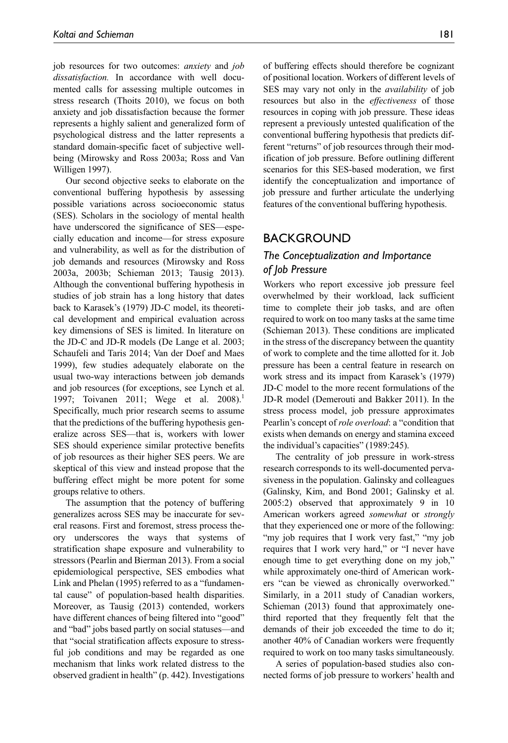job resources for two outcomes: *anxiety* and *job dissatisfaction.* In accordance with well documented calls for assessing multiple outcomes in stress research (Thoits 2010), we focus on both anxiety and job dissatisfaction because the former represents a highly salient and generalized form of psychological distress and the latter represents a standard domain-specific facet of subjective wellbeing (Mirowsky and Ross 2003a; Ross and Van Willigen 1997).

Our second objective seeks to elaborate on the conventional buffering hypothesis by assessing possible variations across socioeconomic status (SES). Scholars in the sociology of mental health have underscored the significance of SES—especially education and income—for stress exposure and vulnerability, as well as for the distribution of job demands and resources (Mirowsky and Ross 2003a, 2003b; Schieman 2013; Tausig 2013). Although the conventional buffering hypothesis in studies of job strain has a long history that dates back to Karasek's (1979) JD-C model, its theoretical development and empirical evaluation across key dimensions of SES is limited. In literature on the JD-C and JD-R models (De Lange et al. 2003; Schaufeli and Taris 2014; Van der Doef and Maes 1999), few studies adequately elaborate on the usual two-way interactions between job demands and job resources (for exceptions, see Lynch et al. 1997; Toivanen 2011; Wege et al. 2008).<sup>1</sup> Specifically, much prior research seems to assume that the predictions of the buffering hypothesis generalize across SES—that is, workers with lower SES should experience similar protective benefits of job resources as their higher SES peers. We are skeptical of this view and instead propose that the buffering effect might be more potent for some groups relative to others.

The assumption that the potency of buffering generalizes across SES may be inaccurate for several reasons. First and foremost, stress process theory underscores the ways that systems of stratification shape exposure and vulnerability to stressors (Pearlin and Bierman 2013). From a social epidemiological perspective, SES embodies what Link and Phelan (1995) referred to as a "fundamental cause" of population-based health disparities. Moreover, as Tausig (2013) contended, workers have different chances of being filtered into "good" and "bad" jobs based partly on social statuses—and that "social stratification affects exposure to stressful job conditions and may be regarded as one mechanism that links work related distress to the observed gradient in health" (p. 442). Investigations of buffering effects should therefore be cognizant of positional location. Workers of different levels of SES may vary not only in the *availability* of job resources but also in the *effectiveness* of those resources in coping with job pressure. These ideas represent a previously untested qualification of the conventional buffering hypothesis that predicts different "returns" of job resources through their modification of job pressure. Before outlining different scenarios for this SES-based moderation, we first identify the conceptualization and importance of job pressure and further articulate the underlying features of the conventional buffering hypothesis.

#### BACKGROUND

### *The Conceptualization and Importance of Job Pressure*

Workers who report excessive job pressure feel overwhelmed by their workload, lack sufficient time to complete their job tasks, and are often required to work on too many tasks at the same time (Schieman 2013). These conditions are implicated in the stress of the discrepancy between the quantity of work to complete and the time allotted for it. Job pressure has been a central feature in research on work stress and its impact from Karasek's (1979) JD-C model to the more recent formulations of the JD-R model (Demerouti and Bakker 2011). In the stress process model, job pressure approximates Pearlin's concept of *role overload*: a "condition that exists when demands on energy and stamina exceed the individual's capacities" (1989:245).

The centrality of job pressure in work-stress research corresponds to its well-documented pervasiveness in the population. Galinsky and colleagues (Galinsky, Kim, and Bond 2001; Galinsky et al. 2005:2) observed that approximately 9 in 10 American workers agreed *somewhat* or *strongly* that they experienced one or more of the following: "my job requires that I work very fast," "my job requires that I work very hard," or "I never have enough time to get everything done on my job," while approximately one-third of American workers "can be viewed as chronically overworked." Similarly, in a 2011 study of Canadian workers, Schieman (2013) found that approximately onethird reported that they frequently felt that the demands of their job exceeded the time to do it; another 40% of Canadian workers were frequently required to work on too many tasks simultaneously.

A series of population-based studies also connected forms of job pressure to workers' health and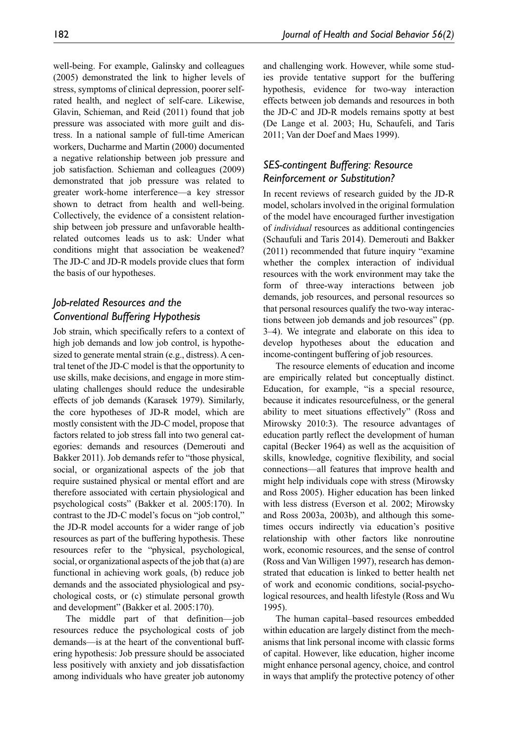well-being. For example, Galinsky and colleagues (2005) demonstrated the link to higher levels of stress, symptoms of clinical depression, poorer selfrated health, and neglect of self-care. Likewise, Glavin, Schieman, and Reid (2011) found that job pressure was associated with more guilt and distress. In a national sample of full-time American workers, Ducharme and Martin (2000) documented a negative relationship between job pressure and job satisfaction. Schieman and colleagues (2009) demonstrated that job pressure was related to greater work-home interference—a key stressor shown to detract from health and well-being. Collectively, the evidence of a consistent relationship between job pressure and unfavorable healthrelated outcomes leads us to ask: Under what conditions might that association be weakened? The JD-C and JD-R models provide clues that form the basis of our hypotheses.

## *Job-related Resources and the Conventional Buffering Hypothesis*

Job strain, which specifically refers to a context of high job demands and low job control, is hypothesized to generate mental strain (e.g., distress). A central tenet of the JD-C model is that the opportunity to use skills, make decisions, and engage in more stimulating challenges should reduce the undesirable effects of job demands (Karasek 1979). Similarly, the core hypotheses of JD-R model, which are mostly consistent with the JD-C model, propose that factors related to job stress fall into two general categories: demands and resources (Demerouti and Bakker 2011). Job demands refer to "those physical, social, or organizational aspects of the job that require sustained physical or mental effort and are therefore associated with certain physiological and psychological costs" (Bakker et al. 2005:170). In contrast to the JD-C model's focus on "job control," the JD-R model accounts for a wider range of job resources as part of the buffering hypothesis. These resources refer to the "physical, psychological, social, or organizational aspects of the job that (a) are functional in achieving work goals, (b) reduce job demands and the associated physiological and psychological costs, or (c) stimulate personal growth and development" (Bakker et al. 2005:170).

The middle part of that definition—job resources reduce the psychological costs of job demands—is at the heart of the conventional buffering hypothesis: Job pressure should be associated less positively with anxiety and job dissatisfaction among individuals who have greater job autonomy and challenging work. However, while some studies provide tentative support for the buffering hypothesis, evidence for two-way interaction effects between job demands and resources in both the JD-C and JD-R models remains spotty at best (De Lange et al. 2003; Hu, Schaufeli, and Taris 2011; Van der Doef and Maes 1999).

## *SES-contingent Buffering: Resource Reinforcement or Substitution?*

In recent reviews of research guided by the JD-R model, scholars involved in the original formulation of the model have encouraged further investigation of *individual* resources as additional contingencies (Schaufuli and Taris 2014). Demerouti and Bakker (2011) recommended that future inquiry "examine whether the complex interaction of individual resources with the work environment may take the form of three-way interactions between job demands, job resources, and personal resources so that personal resources qualify the two-way interactions between job demands and job resources" (pp. 3–4). We integrate and elaborate on this idea to develop hypotheses about the education and income-contingent buffering of job resources.

The resource elements of education and income are empirically related but conceptually distinct. Education, for example, "is a special resource, because it indicates resourcefulness, or the general ability to meet situations effectively" (Ross and Mirowsky 2010:3). The resource advantages of education partly reflect the development of human capital (Becker 1964) as well as the acquisition of skills, knowledge, cognitive flexibility, and social connections—all features that improve health and might help individuals cope with stress (Mirowsky and Ross 2005). Higher education has been linked with less distress (Everson et al. 2002; Mirowsky and Ross 2003a, 2003b), and although this sometimes occurs indirectly via education's positive relationship with other factors like nonroutine work, economic resources, and the sense of control (Ross and Van Willigen 1997), research has demonstrated that education is linked to better health net of work and economic conditions, social-psychological resources, and health lifestyle (Ross and Wu 1995).

The human capital–based resources embedded within education are largely distinct from the mechanisms that link personal income with classic forms of capital. However, like education, higher income might enhance personal agency, choice, and control in ways that amplify the protective potency of other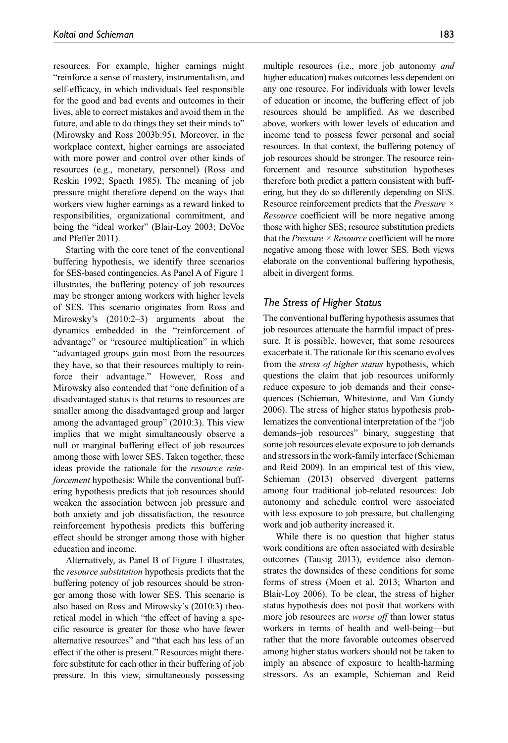resources. For example, higher earnings might "reinforce a sense of mastery, instrumentalism, and self-efficacy, in which individuals feel responsible for the good and bad events and outcomes in their lives, able to correct mistakes and avoid them in the future, and able to do things they set their minds to" (Mirowsky and Ross 2003b:95). Moreover, in the workplace context, higher earnings are associated with more power and control over other kinds of resources (e.g., monetary, personnel) (Ross and Reskin 1992; Spaeth 1985). The meaning of job pressure might therefore depend on the ways that workers view higher earnings as a reward linked to responsibilities, organizational commitment, and being the "ideal worker" (Blair-Loy 2003; DeVoe and Pfeffer 2011).

Starting with the core tenet of the conventional buffering hypothesis, we identify three scenarios for SES-based contingencies. As Panel A of Figure 1 illustrates, the buffering potency of job resources may be stronger among workers with higher levels of SES. This scenario originates from Ross and Mirowsky's (2010:2–3) arguments about the dynamics embedded in the "reinforcement of advantage" or "resource multiplication" in which "advantaged groups gain most from the resources they have, so that their resources multiply to reinforce their advantage." However, Ross and Mirowsky also contended that "one definition of a disadvantaged status is that returns to resources are smaller among the disadvantaged group and larger among the advantaged group" (2010:3). This view implies that we might simultaneously observe a null or marginal buffering effect of job resources among those with lower SES. Taken together, these ideas provide the rationale for the *resource reinforcement* hypothesis: While the conventional buffering hypothesis predicts that job resources should weaken the association between job pressure and both anxiety and job dissatisfaction, the resource reinforcement hypothesis predicts this buffering effect should be stronger among those with higher education and income.

Alternatively, as Panel B of Figure 1 illustrates, the *resource substitution* hypothesis predicts that the buffering potency of job resources should be stronger among those with lower SES. This scenario is also based on Ross and Mirowsky's (2010:3) theoretical model in which "the effect of having a specific resource is greater for those who have fewer alternative resources" and "that each has less of an effect if the other is present." Resources might therefore substitute for each other in their buffering of job pressure. In this view, simultaneously possessing multiple resources (i.e., more job autonomy *and* higher education) makes outcomes less dependent on any one resource. For individuals with lower levels of education or income, the buffering effect of job resources should be amplified. As we described above, workers with lower levels of education and income tend to possess fewer personal and social resources. In that context, the buffering potency of job resources should be stronger. The resource reinforcement and resource substitution hypotheses therefore both predict a pattern consistent with buffering, but they do so differently depending on SES. Resource reinforcement predicts that the *Pressure × Resource* coefficient will be more negative among those with higher SES; resource substitution predicts that the *Pressure × Resource* coefficient will be more negative among those with lower SES. Both views elaborate on the conventional buffering hypothesis, albeit in divergent forms.

#### *The Stress of Higher Status*

The conventional buffering hypothesis assumes that job resources attenuate the harmful impact of pressure. It is possible, however, that some resources exacerbate it. The rationale for this scenario evolves from the *stress of higher status* hypothesis, which questions the claim that job resources uniformly reduce exposure to job demands and their consequences (Schieman, Whitestone, and Van Gundy 2006). The stress of higher status hypothesis problematizes the conventional interpretation of the "job demands–job resources" binary, suggesting that some job resources elevate exposure to job demands and stressors in the work-family interface (Schieman and Reid 2009). In an empirical test of this view, Schieman (2013) observed divergent patterns among four traditional job-related resources: Job autonomy and schedule control were associated with less exposure to job pressure, but challenging work and job authority increased it.

While there is no question that higher status work conditions are often associated with desirable outcomes (Tausig 2013), evidence also demonstrates the downsides of these conditions for some forms of stress (Moen et al. 2013; Wharton and Blair-Loy 2006). To be clear, the stress of higher status hypothesis does not posit that workers with more job resources are *worse off* than lower status workers in terms of health and well-being—but rather that the more favorable outcomes observed among higher status workers should not be taken to imply an absence of exposure to health-harming stressors. As an example, Schieman and Reid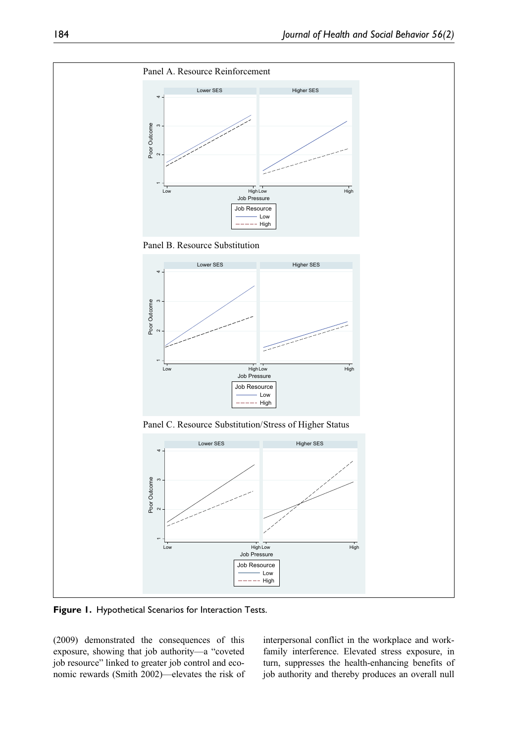

**Figure 1.** Hypothetical Scenarios for Interaction Tests.

(2009) demonstrated the consequences of this exposure, showing that job authority—a "coveted job resource" linked to greater job control and economic rewards (Smith 2002)—elevates the risk of

interpersonal conflict in the workplace and workfamily interference. Elevated stress exposure, in turn, suppresses the health-enhancing benefits of job authority and thereby produces an overall null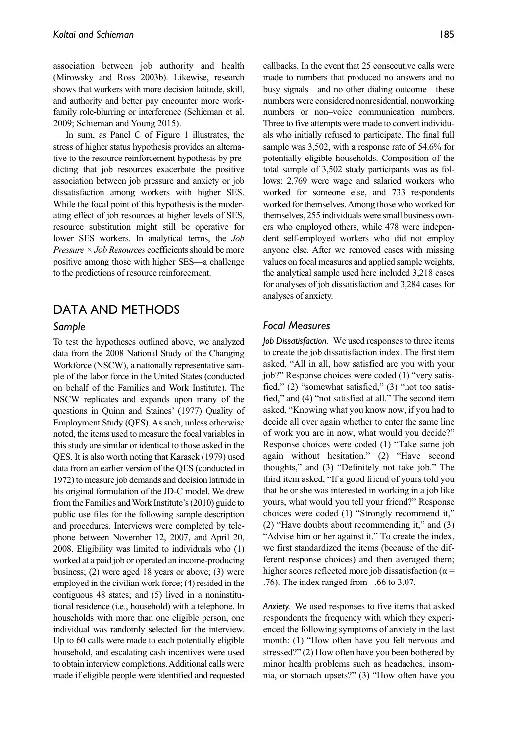association between job authority and health (Mirowsky and Ross 2003b). Likewise, research shows that workers with more decision latitude, skill, and authority and better pay encounter more workfamily role-blurring or interference (Schieman et al. 2009; Schieman and Young 2015).

In sum, as Panel C of Figure 1 illustrates, the stress of higher status hypothesis provides an alternative to the resource reinforcement hypothesis by predicting that job resources exacerbate the positive association between job pressure and anxiety or job dissatisfaction among workers with higher SES. While the focal point of this hypothesis is the moderating effect of job resources at higher levels of SES, resource substitution might still be operative for lower SES workers. In analytical terms, the *Job Pressure × Job Resources* coefficients should be more positive among those with higher SES—a challenge to the predictions of resource reinforcement.

## DATA AND METHODS

#### *Sample*

To test the hypotheses outlined above, we analyzed data from the 2008 National Study of the Changing Workforce (NSCW), a nationally representative sample of the labor force in the United States (conducted on behalf of the Families and Work Institute). The NSCW replicates and expands upon many of the questions in Quinn and Staines' (1977) Quality of Employment Study (QES). As such, unless otherwise noted, the items used to measure the focal variables in this study are similar or identical to those asked in the QES. It is also worth noting that Karasek (1979) used data from an earlier version of the QES (conducted in 1972) to measure job demands and decision latitude in his original formulation of the JD-C model. We drew from the Families and Work Institute's (2010) guide to public use files for the following sample description and procedures. Interviews were completed by telephone between November 12, 2007, and April 20, 2008. Eligibility was limited to individuals who (1) worked at a paid job or operated an income-producing business; (2) were aged 18 years or above; (3) were employed in the civilian work force; (4) resided in the contiguous 48 states; and (5) lived in a noninstitutional residence (i.e., household) with a telephone. In households with more than one eligible person, one individual was randomly selected for the interview. Up to 60 calls were made to each potentially eligible household, and escalating cash incentives were used to obtain interview completions. Additional calls were made if eligible people were identified and requested

callbacks. In the event that 25 consecutive calls were made to numbers that produced no answers and no busy signals—and no other dialing outcome—these numbers were considered nonresidential, nonworking numbers or non–voice communication numbers. Three to five attempts were made to convert individuals who initially refused to participate. The final full sample was 3,502, with a response rate of 54.6% for potentially eligible households. Composition of the total sample of 3,502 study participants was as follows: 2,769 were wage and salaried workers who worked for someone else, and 733 respondents worked for themselves. Among those who worked for themselves, 255 individuals were small business owners who employed others, while 478 were independent self-employed workers who did not employ anyone else. After we removed cases with missing values on focal measures and applied sample weights, the analytical sample used here included 3,218 cases for analyses of job dissatisfaction and 3,284 cases for analyses of anxiety.

#### *Focal Measures*

*Job Dissatisfaction.* We used responses to three items to create the job dissatisfaction index. The first item asked, "All in all, how satisfied are you with your job?" Response choices were coded (1) "very satisfied," (2) "somewhat satisfied," (3) "not too satisfied," and (4) "not satisfied at all." The second item asked, "Knowing what you know now, if you had to decide all over again whether to enter the same line of work you are in now, what would you decide?" Response choices were coded (1) "Take same job again without hesitation," (2) "Have second thoughts," and (3) "Definitely not take job." The third item asked, "If a good friend of yours told you that he or she was interested in working in a job like yours, what would you tell your friend?" Response choices were coded (1) "Strongly recommend it," (2) "Have doubts about recommending it," and (3) "Advise him or her against it." To create the index, we first standardized the items (because of the different response choices) and then averaged them; higher scores reflected more job dissatisfaction ( $\alpha$  = .76). The index ranged from –.66 to 3.07.

*Anxiety.* We used responses to five items that asked respondents the frequency with which they experienced the following symptoms of anxiety in the last month: (1) "How often have you felt nervous and stressed?" (2) How often have you been bothered by minor health problems such as headaches, insomnia, or stomach upsets?" (3) "How often have you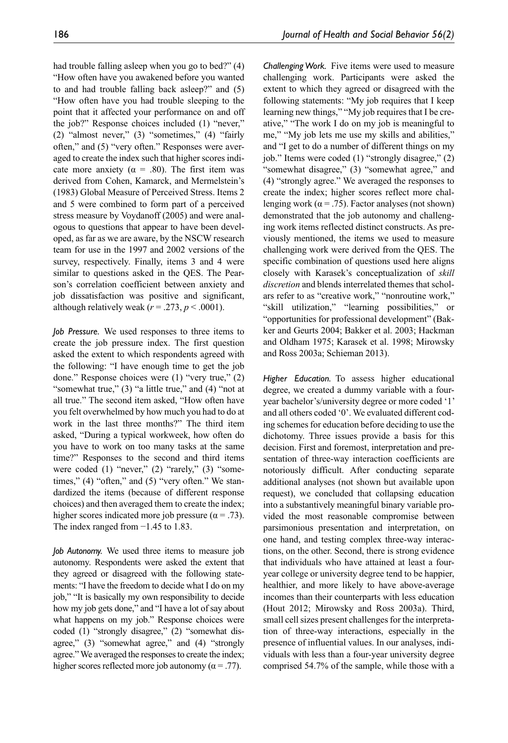had trouble falling asleep when you go to bed?" (4) "How often have you awakened before you wanted to and had trouble falling back asleep?" and (5) "How often have you had trouble sleeping to the point that it affected your performance on and off the job?" Response choices included (1) "never," (2) "almost never," (3) "sometimes," (4) "fairly often," and (5) "very often." Responses were averaged to create the index such that higher scores indicate more anxiety ( $\alpha$  = .80). The first item was derived from Cohen, Kamarck, and Mermelstein's (1983) Global Measure of Perceived Stress. Items 2 and 5 were combined to form part of a perceived stress measure by Voydanoff (2005) and were analogous to questions that appear to have been developed, as far as we are aware, by the NSCW research team for use in the 1997 and 2002 versions of the survey, respectively. Finally, items 3 and 4 were similar to questions asked in the QES. The Pearson's correlation coefficient between anxiety and job dissatisfaction was positive and significant, although relatively weak ( $r = .273$ ,  $p < .0001$ ).

*Job Pressure.* We used responses to three items to create the job pressure index. The first question asked the extent to which respondents agreed with the following: "I have enough time to get the job done." Response choices were (1) "very true," (2) "somewhat true," (3) "a little true," and (4) "not at all true." The second item asked, "How often have you felt overwhelmed by how much you had to do at work in the last three months?" The third item asked, "During a typical workweek, how often do you have to work on too many tasks at the same time?" Responses to the second and third items were coded (1) "never," (2) "rarely," (3) "sometimes," (4) "often," and (5) "very often." We standardized the items (because of different response choices) and then averaged them to create the index; higher scores indicated more job pressure ( $\alpha$  = .73). The index ranged from −1.45 to 1.83.

*Job Autonomy.* We used three items to measure job autonomy. Respondents were asked the extent that they agreed or disagreed with the following statements: "I have the freedom to decide what I do on my job," "It is basically my own responsibility to decide how my job gets done," and "I have a lot of say about what happens on my job." Response choices were coded (1) "strongly disagree," (2) "somewhat disagree," (3) "somewhat agree," and (4) "strongly agree." We averaged the responses to create the index; higher scores reflected more job autonomy ( $\alpha$  = .77).

*Challenging Work.* Five items were used to measure challenging work. Participants were asked the extent to which they agreed or disagreed with the following statements: "My job requires that I keep learning new things," "My job requires that I be creative," "The work I do on my job is meaningful to me," "My job lets me use my skills and abilities," and "I get to do a number of different things on my job." Items were coded (1) "strongly disagree," (2) "somewhat disagree," (3) "somewhat agree," and (4) "strongly agree." We averaged the responses to create the index; higher scores reflect more challenging work ( $\alpha$  = .75). Factor analyses (not shown) demonstrated that the job autonomy and challenging work items reflected distinct constructs. As previously mentioned, the items we used to measure challenging work were derived from the QES. The specific combination of questions used here aligns closely with Karasek's conceptualization of *skill discretion* and blends interrelated themes that scholars refer to as "creative work," "nonroutine work," "skill utilization," "learning possibilities," or "opportunities for professional development" (Bakker and Geurts 2004; Bakker et al. 2003; Hackman and Oldham 1975; Karasek et al. 1998; Mirowsky and Ross 2003a; Schieman 2013).

*Higher Education.* To assess higher educational degree, we created a dummy variable with a fouryear bachelor's/university degree or more coded '1' and all others coded '0'. We evaluated different coding schemes for education before deciding to use the dichotomy. Three issues provide a basis for this decision. First and foremost, interpretation and presentation of three-way interaction coefficients are notoriously difficult. After conducting separate additional analyses (not shown but available upon request), we concluded that collapsing education into a substantively meaningful binary variable provided the most reasonable compromise between parsimonious presentation and interpretation, on one hand, and testing complex three-way interactions, on the other. Second, there is strong evidence that individuals who have attained at least a fouryear college or university degree tend to be happier, healthier, and more likely to have above-average incomes than their counterparts with less education (Hout 2012; Mirowsky and Ross 2003a). Third, small cell sizes present challenges for the interpretation of three-way interactions, especially in the presence of influential values. In our analyses, individuals with less than a four-year university degree comprised 54.7% of the sample, while those with a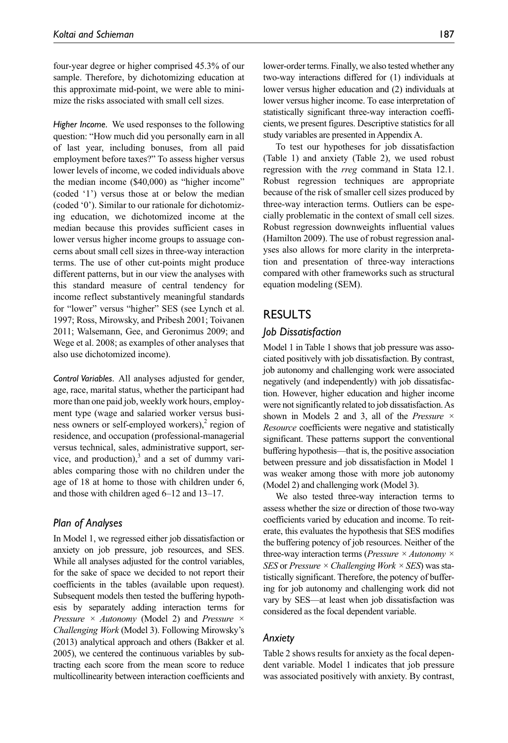four-year degree or higher comprised 45.3% of our sample. Therefore, by dichotomizing education at this approximate mid-point, we were able to minimize the risks associated with small cell sizes.

*Higher Income.* We used responses to the following question: "How much did you personally earn in all of last year, including bonuses, from all paid employment before taxes?" To assess higher versus lower levels of income, we coded individuals above the median income (\$40,000) as "higher income" (coded '1') versus those at or below the median (coded '0'). Similar to our rationale for dichotomizing education, we dichotomized income at the median because this provides sufficient cases in lower versus higher income groups to assuage concerns about small cell sizes in three-way interaction terms. The use of other cut-points might produce different patterns, but in our view the analyses with this standard measure of central tendency for income reflect substantively meaningful standards for "lower" versus "higher" SES (see Lynch et al. 1997; Ross, Mirowsky, and Pribesh 2001; Toivanen 2011; Walsemann, Gee, and Geronimus 2009; and Wege et al. 2008; as examples of other analyses that also use dichotomized income).

*Control Variables.* All analyses adjusted for gender, age, race, marital status, whether the participant had more than one paid job, weekly work hours, employment type (wage and salaried worker versus business owners or self-employed workers), $2$  region of residence, and occupation (professional-managerial versus technical, sales, administrative support, service, and production), $3$  and a set of dummy variables comparing those with no children under the age of 18 at home to those with children under 6, and those with children aged 6–12 and 13–17.

#### *Plan of Analyses*

In Model 1, we regressed either job dissatisfaction or anxiety on job pressure, job resources, and SES. While all analyses adjusted for the control variables, for the sake of space we decided to not report their coefficients in the tables (available upon request). Subsequent models then tested the buffering hypothesis by separately adding interaction terms for *Pressure × Autonomy* (Model 2) and *Pressure × Challenging Work* (Model 3). Following Mirowsky's (2013) analytical approach and others (Bakker et al. 2005), we centered the continuous variables by subtracting each score from the mean score to reduce multicollinearity between interaction coefficients and lower-order terms. Finally, we also tested whether any two-way interactions differed for (1) individuals at lower versus higher education and (2) individuals at lower versus higher income. To ease interpretation of statistically significant three-way interaction coefficients, we present figures. Descriptive statistics for all study variables are presented in Appendix A.

To test our hypotheses for job dissatisfaction (Table 1) and anxiety (Table 2), we used robust regression with the *rreg* command in Stata 12.1. Robust regression techniques are appropriate because of the risk of smaller cell sizes produced by three-way interaction terms. Outliers can be especially problematic in the context of small cell sizes. Robust regression downweights influential values (Hamilton 2009). The use of robust regression analyses also allows for more clarity in the interpretation and presentation of three-way interactions compared with other frameworks such as structural equation modeling (SEM).

#### **RESULTS**

#### *Job Dissatisfaction*

Model 1 in Table 1 shows that job pressure was associated positively with job dissatisfaction. By contrast, job autonomy and challenging work were associated negatively (and independently) with job dissatisfaction. However, higher education and higher income were not significantly related to job dissatisfaction. As shown in Models 2 and 3, all of the *Pressure × Resource* coefficients were negative and statistically significant. These patterns support the conventional buffering hypothesis—that is, the positive association between pressure and job dissatisfaction in Model 1 was weaker among those with more job autonomy (Model 2) and challenging work (Model 3).

We also tested three-way interaction terms to assess whether the size or direction of those two-way coefficients varied by education and income. To reiterate, this evaluates the hypothesis that SES modifies the buffering potency of job resources. Neither of the three-way interaction terms (*Pressure × Autonomy × SES* or *Pressure × Challenging Work × SES*) was statistically significant. Therefore, the potency of buffering for job autonomy and challenging work did not vary by SES—at least when job dissatisfaction was considered as the focal dependent variable.

#### *Anxiety*

Table 2 shows results for anxiety as the focal dependent variable. Model 1 indicates that job pressure was associated positively with anxiety. By contrast,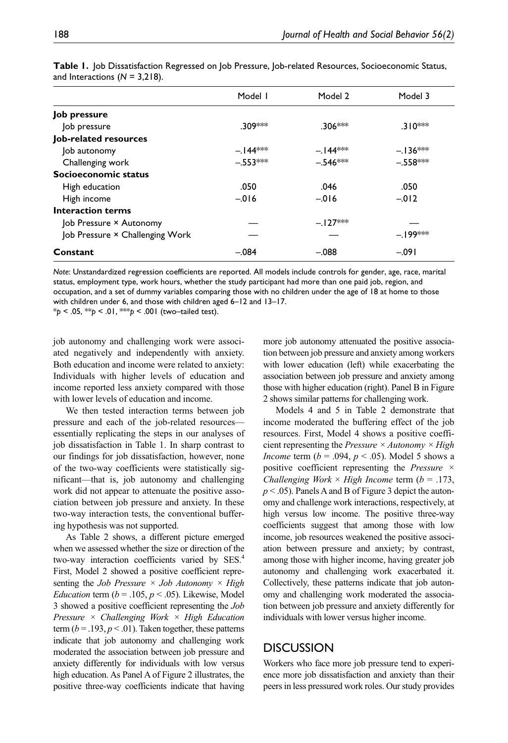|                                 | Model I             | Model 2    | Model 3    |
|---------------------------------|---------------------|------------|------------|
| Job pressure                    |                     |            |            |
| Job pressure                    | .309 <sup>***</sup> | $.306***$  | $.310***$  |
| Job-related resources           |                     |            |            |
| Job autonomy                    | $-.144***$          | $-.144***$ | $-.136***$ |
| Challenging work                | $-553***$           | $-546***$  | $-.558***$ |
| Socioeconomic status            |                     |            |            |
| High education                  | .050                | .046       | .050       |
| High income                     | $-016$              | $-016$     | $-012$     |
| <b>Interaction terms</b>        |                     |            |            |
| Job Pressure × Autonomy         |                     | $-.127***$ |            |
| Job Pressure × Challenging Work |                     |            | –.199***   |
| Constant                        | $-.084$             | $-.088$    | $-.091$    |

**Table 1.** Job Dissatisfaction Regressed on Job Pressure, Job-related Resources, Socioeconomic Status, and Interactions (*N* = 3,218).

*Note*: Unstandardized regression coefficients are reported. All models include controls for gender, age, race, marital status, employment type, work hours, whether the study participant had more than one paid job, region, and occupation, and a set of dummy variables comparing those with no children under the age of 18 at home to those with children under 6, and those with children aged 6–12 and 13–17.

\**p* < .05, \*\**p* < .01, \*\*\**p* < .001 (two–tailed test).

job autonomy and challenging work were associated negatively and independently with anxiety. Both education and income were related to anxiety: Individuals with higher levels of education and income reported less anxiety compared with those with lower levels of education and income.

We then tested interaction terms between job pressure and each of the job-related resources essentially replicating the steps in our analyses of job dissatisfaction in Table 1. In sharp contrast to our findings for job dissatisfaction, however, none of the two-way coefficients were statistically significant—that is, job autonomy and challenging work did not appear to attenuate the positive association between job pressure and anxiety. In these two-way interaction tests, the conventional buffering hypothesis was not supported.

As Table 2 shows, a different picture emerged when we assessed whether the size or direction of the two-way interaction coefficients varied by SES.<sup>4</sup> First, Model 2 showed a positive coefficient representing the *Job Pressure × Job Autonomy × High Education* term ( $b = .105$ ,  $p < .05$ ). Likewise, Model 3 showed a positive coefficient representing the *Job Pressure × Challenging Work × High Education* term  $(b = .193, p < .01)$ . Taken together, these patterns indicate that job autonomy and challenging work moderated the association between job pressure and anxiety differently for individuals with low versus high education. As Panel A of Figure 2 illustrates, the positive three-way coefficients indicate that having more job autonomy attenuated the positive association between job pressure and anxiety among workers with lower education (left) while exacerbating the association between job pressure and anxiety among those with higher education (right). Panel B in Figure 2 shows similar patterns for challenging work.

Models 4 and 5 in Table 2 demonstrate that income moderated the buffering effect of the job resources. First, Model 4 shows a positive coefficient representing the *Pressure × Autonomy × High Income* term ( $b = .094$ ,  $p < .05$ ). Model 5 shows a positive coefficient representing the *Pressure × Challenging Work*  $\times$  *High Income* term ( $b = .173$ , *p* < .05). Panels A and B of Figure 3 depict the autonomy and challenge work interactions, respectively, at high versus low income. The positive three-way coefficients suggest that among those with low income, job resources weakened the positive association between pressure and anxiety; by contrast, among those with higher income, having greater job autonomy and challenging work exacerbated it. Collectively, these patterns indicate that job autonomy and challenging work moderated the association between job pressure and anxiety differently for individuals with lower versus higher income.

## **DISCUSSION**

Workers who face more job pressure tend to experience more job dissatisfaction and anxiety than their peers in less pressured work roles. Our study provides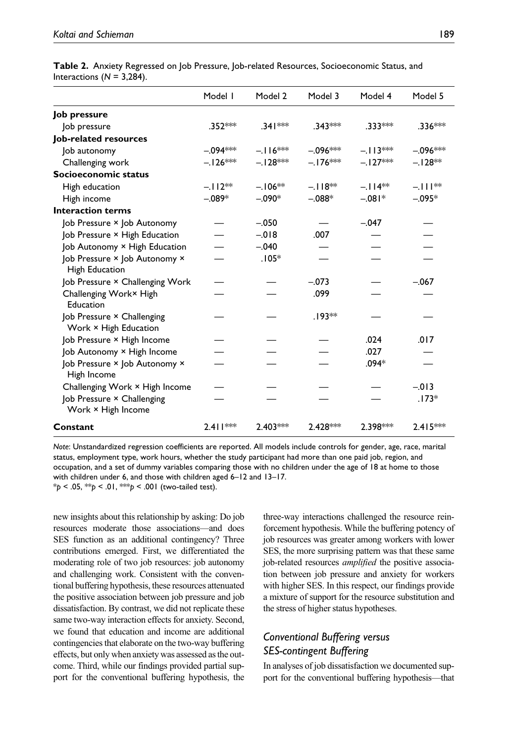| Table 2. Anxiety Regressed on Job Pressure, Job-related Resources, Socioeconomic Status, and |  |  |  |
|----------------------------------------------------------------------------------------------|--|--|--|
| Interactions $(N = 3,284)$ .                                                                 |  |  |  |

|                                                     | Model I    | Model 2    | Model 3    | Model 4    | Model 5    |
|-----------------------------------------------------|------------|------------|------------|------------|------------|
| <b>Job pressure</b>                                 |            |            |            |            |            |
| Job pressure                                        | $.352***$  | $.341***$  | .343 ***   | $.333***$  | $.336***$  |
| Job-related resources                               |            |            |            |            |            |
| Job autonomy                                        | $-.094***$ | $-.116***$ | $-.096***$ | $-.113***$ | $-.096***$ |
| Challenging work                                    | $-.126***$ | $-.128***$ | $-.176***$ | $-.127***$ | $-.128**$  |
| Socioeconomic status                                |            |            |            |            |            |
| High education                                      | $-.112**$  | $-.106**$  | $-.118**$  | $-.114**$  | $-.111**$  |
| High income                                         | $-.089*$   | $-.090*$   | $-.088*$   | $-.081*$   | $-.095*$   |
| <b>Interaction terms</b>                            |            |            |            |            |            |
| Job Pressure × Job Autonomy                         |            | $-.050$    |            | $-.047$    |            |
| Job Pressure × High Education                       |            | $-018$     | .007       |            |            |
| Job Autonomy × High Education                       |            | $-.040$    |            |            |            |
| Job Pressure × Job Autonomy ×<br>High Education     |            | $.105*$    |            |            |            |
| Job Pressure × Challenging Work                     |            |            | $-.073$    |            | $-.067$    |
| Challenging Work× High<br>Education                 |            |            | .099       |            |            |
| Job Pressure × Challenging<br>Work × High Education |            |            | .193**     |            |            |
| Job Pressure × High Income                          |            |            |            | .024       | .017       |
| Job Autonomy × High Income                          |            |            |            | .027       |            |
| Job Pressure × Job Autonomy ×<br>High Income        |            |            |            | $.094*$    |            |
| Challenging Work × High Income                      |            |            |            |            | $-013$     |
| Job Pressure × Challenging<br>Work × High Income    |            |            |            |            | $.173*$    |
| Constant                                            | $2.411***$ | $2.403***$ | $2.428***$ | $2.398***$ | $2.415***$ |

*Note*: Unstandardized regression coefficients are reported. All models include controls for gender, age, race, marital status, employment type, work hours, whether the study participant had more than one paid job, region, and occupation, and a set of dummy variables comparing those with no children under the age of 18 at home to those with children under 6, and those with children aged 6–12 and 13–17. \**p* < .05, \*\**p* < .01, \*\*\**p* < .001 (two-tailed test).

new insights about this relationship by asking: Do job resources moderate those associations—and does SES function as an additional contingency? Three contributions emerged. First, we differentiated the moderating role of two job resources: job autonomy and challenging work. Consistent with the conventional buffering hypothesis, these resources attenuated the positive association between job pressure and job dissatisfaction. By contrast, we did not replicate these same two-way interaction effects for anxiety. Second, we found that education and income are additional contingencies that elaborate on the two-way buffering effects, but only when anxiety was assessed as the outcome. Third, while our findings provided partial support for the conventional buffering hypothesis, the three-way interactions challenged the resource reinforcement hypothesis. While the buffering potency of job resources was greater among workers with lower SES, the more surprising pattern was that these same job-related resources *amplified* the positive association between job pressure and anxiety for workers with higher SES. In this respect, our findings provide a mixture of support for the resource substitution and the stress of higher status hypotheses.

## *Conventional Buffering versus SES-contingent Buffering*

In analyses of job dissatisfaction we documented support for the conventional buffering hypothesis—that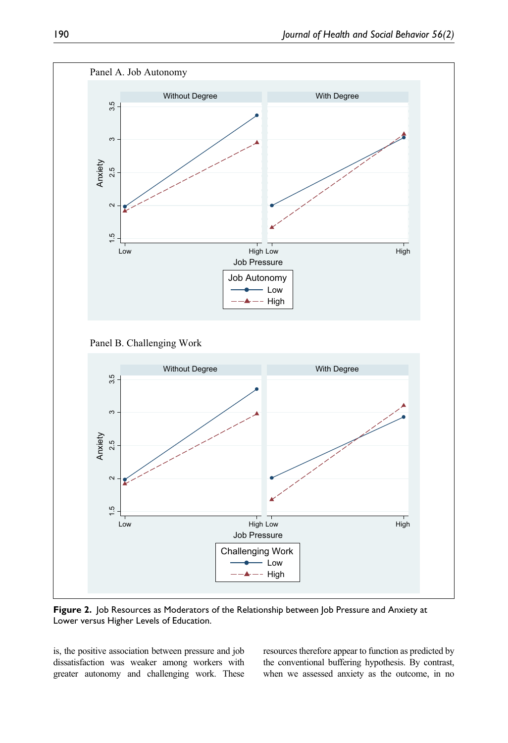

**Figure 2.** Job Resources as Moderators of the Relationship between Job Pressure and Anxiety at Lower versus Higher Levels of Education.

is, the positive association between pressure and job dissatisfaction was weaker among workers with greater autonomy and challenging work. These resources therefore appear to function as predicted by the conventional buffering hypothesis. By contrast, when we assessed anxiety as the outcome, in no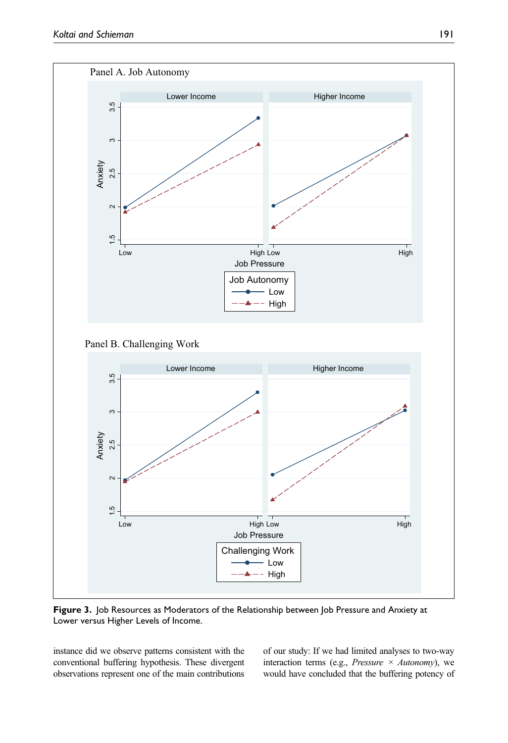

**Figure 3.** Job Resources as Moderators of the Relationship between Job Pressure and Anxiety at Lower versus Higher Levels of Income.

instance did we observe patterns consistent with the conventional buffering hypothesis. These divergent observations represent one of the main contributions of our study: If we had limited analyses to two-way interaction terms (e.g., *Pressure × Autonomy*), we would have concluded that the buffering potency of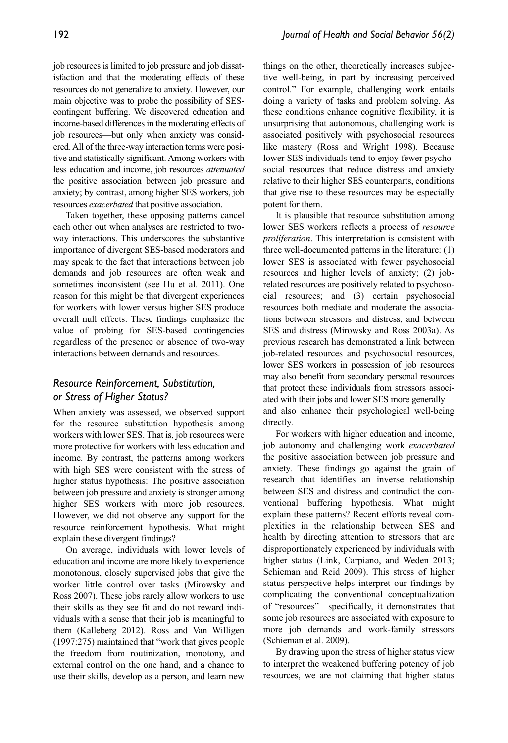job resources is limited to job pressure and job dissatisfaction and that the moderating effects of these resources do not generalize to anxiety. However, our main objective was to probe the possibility of SEScontingent buffering. We discovered education and income-based differences in the moderating effects of job resources—but only when anxiety was considered. All of the three-way interaction terms were positive and statistically significant. Among workers with less education and income, job resources *attenuated* the positive association between job pressure and anxiety; by contrast, among higher SES workers, job resources *exacerbated* that positive association.

Taken together, these opposing patterns cancel each other out when analyses are restricted to twoway interactions. This underscores the substantive importance of divergent SES-based moderators and may speak to the fact that interactions between job demands and job resources are often weak and sometimes inconsistent (see Hu et al. 2011). One reason for this might be that divergent experiences for workers with lower versus higher SES produce overall null effects. These findings emphasize the value of probing for SES-based contingencies regardless of the presence or absence of two-way interactions between demands and resources.

#### *Resource Reinforcement, Substitution, or Stress of Higher Status?*

When anxiety was assessed, we observed support for the resource substitution hypothesis among workers with lower SES. That is, job resources were more protective for workers with less education and income. By contrast, the patterns among workers with high SES were consistent with the stress of higher status hypothesis: The positive association between job pressure and anxiety is stronger among higher SES workers with more job resources. However, we did not observe any support for the resource reinforcement hypothesis. What might explain these divergent findings?

On average, individuals with lower levels of education and income are more likely to experience monotonous, closely supervised jobs that give the worker little control over tasks (Mirowsky and Ross 2007). These jobs rarely allow workers to use their skills as they see fit and do not reward individuals with a sense that their job is meaningful to them (Kalleberg 2012). Ross and Van Willigen (1997:275) maintained that "work that gives people the freedom from routinization, monotony, and external control on the one hand, and a chance to use their skills, develop as a person, and learn new

things on the other, theoretically increases subjective well-being, in part by increasing perceived control." For example, challenging work entails doing a variety of tasks and problem solving. As these conditions enhance cognitive flexibility, it is unsurprising that autonomous, challenging work is associated positively with psychosocial resources like mastery (Ross and Wright 1998). Because lower SES individuals tend to enjoy fewer psychosocial resources that reduce distress and anxiety relative to their higher SES counterparts, conditions that give rise to these resources may be especially potent for them.

It is plausible that resource substitution among lower SES workers reflects a process of *resource proliferation*. This interpretation is consistent with three well-documented patterns in the literature: (1) lower SES is associated with fewer psychosocial resources and higher levels of anxiety; (2) jobrelated resources are positively related to psychosocial resources; and (3) certain psychosocial resources both mediate and moderate the associations between stressors and distress, and between SES and distress (Mirowsky and Ross 2003a). As previous research has demonstrated a link between job-related resources and psychosocial resources, lower SES workers in possession of job resources may also benefit from secondary personal resources that protect these individuals from stressors associated with their jobs and lower SES more generally and also enhance their psychological well-being directly.

For workers with higher education and income, job autonomy and challenging work *exacerbated* the positive association between job pressure and anxiety. These findings go against the grain of research that identifies an inverse relationship between SES and distress and contradict the conventional buffering hypothesis. What might explain these patterns? Recent efforts reveal complexities in the relationship between SES and health by directing attention to stressors that are disproportionately experienced by individuals with higher status (Link, Carpiano, and Weden 2013; Schieman and Reid 2009). This stress of higher status perspective helps interpret our findings by complicating the conventional conceptualization of "resources"—specifically, it demonstrates that some job resources are associated with exposure to more job demands and work-family stressors (Schieman et al. 2009).

By drawing upon the stress of higher status view to interpret the weakened buffering potency of job resources, we are not claiming that higher status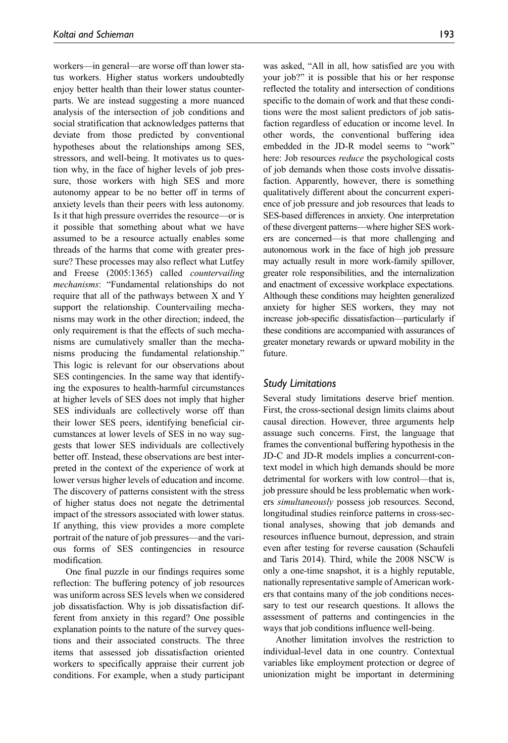workers—in general—are worse off than lower status workers. Higher status workers undoubtedly enjoy better health than their lower status counterparts. We are instead suggesting a more nuanced analysis of the intersection of job conditions and social stratification that acknowledges patterns that deviate from those predicted by conventional hypotheses about the relationships among SES, stressors, and well-being. It motivates us to question why, in the face of higher levels of job pressure, those workers with high SES and more autonomy appear to be no better off in terms of anxiety levels than their peers with less autonomy. Is it that high pressure overrides the resource—or is it possible that something about what we have assumed to be a resource actually enables some threads of the harms that come with greater pressure? These processes may also reflect what Lutfey and Freese (2005:1365) called *countervailing mechanisms*: "Fundamental relationships do not require that all of the pathways between X and Y support the relationship. Countervailing mechanisms may work in the other direction; indeed, the only requirement is that the effects of such mechanisms are cumulatively smaller than the mechanisms producing the fundamental relationship." This logic is relevant for our observations about SES contingencies. In the same way that identifying the exposures to health-harmful circumstances at higher levels of SES does not imply that higher SES individuals are collectively worse off than their lower SES peers, identifying beneficial circumstances at lower levels of SES in no way suggests that lower SES individuals are collectively better off. Instead, these observations are best interpreted in the context of the experience of work at lower versus higher levels of education and income. The discovery of patterns consistent with the stress of higher status does not negate the detrimental impact of the stressors associated with lower status. If anything, this view provides a more complete portrait of the nature of job pressures—and the various forms of SES contingencies in resource modification.

One final puzzle in our findings requires some reflection: The buffering potency of job resources was uniform across SES levels when we considered job dissatisfaction. Why is job dissatisfaction different from anxiety in this regard? One possible explanation points to the nature of the survey questions and their associated constructs. The three items that assessed job dissatisfaction oriented workers to specifically appraise their current job conditions. For example, when a study participant was asked, "All in all, how satisfied are you with your job?" it is possible that his or her response reflected the totality and intersection of conditions specific to the domain of work and that these conditions were the most salient predictors of job satisfaction regardless of education or income level. In other words, the conventional buffering idea embedded in the JD-R model seems to "work" here: Job resources *reduce* the psychological costs of job demands when those costs involve dissatisfaction. Apparently, however, there is something qualitatively different about the concurrent experience of job pressure and job resources that leads to SES-based differences in anxiety. One interpretation of these divergent patterns—where higher SES workers are concerned—is that more challenging and autonomous work in the face of high job pressure may actually result in more work-family spillover, greater role responsibilities, and the internalization and enactment of excessive workplace expectations. Although these conditions may heighten generalized anxiety for higher SES workers, they may not increase job-specific dissatisfaction—particularly if these conditions are accompanied with assurances of greater monetary rewards or upward mobility in the future.

#### *Study Limitations*

Several study limitations deserve brief mention. First, the cross-sectional design limits claims about causal direction. However, three arguments help assuage such concerns. First, the language that frames the conventional buffering hypothesis in the JD-C and JD-R models implies a concurrent-context model in which high demands should be more detrimental for workers with low control—that is, job pressure should be less problematic when workers *simultaneously* possess job resources. Second, longitudinal studies reinforce patterns in cross-sectional analyses, showing that job demands and resources influence burnout, depression, and strain even after testing for reverse causation (Schaufeli and Taris 2014). Third, while the 2008 NSCW is only a one-time snapshot, it is a highly reputable, nationally representative sample of American workers that contains many of the job conditions necessary to test our research questions. It allows the assessment of patterns and contingencies in the ways that job conditions influence well-being.

Another limitation involves the restriction to individual-level data in one country. Contextual variables like employment protection or degree of unionization might be important in determining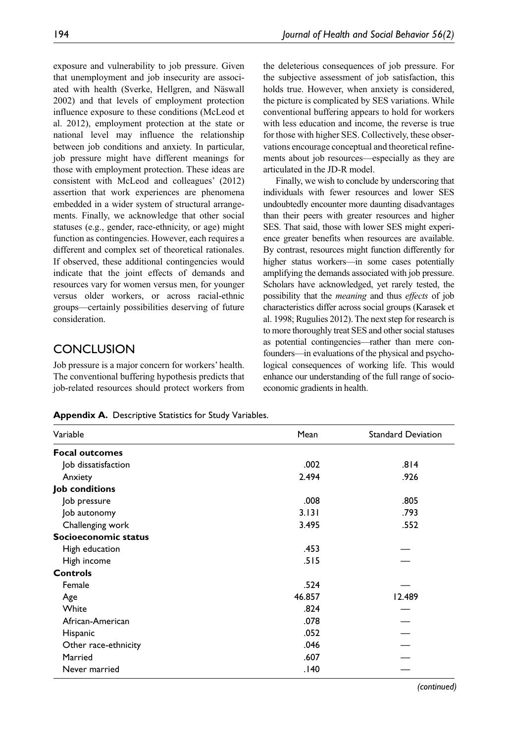exposure and vulnerability to job pressure. Given that unemployment and job insecurity are associated with health (Sverke, Hellgren, and Näswall 2002) and that levels of employment protection influence exposure to these conditions (McLeod et al. 2012), employment protection at the state or national level may influence the relationship between job conditions and anxiety. In particular, job pressure might have different meanings for those with employment protection. These ideas are consistent with McLeod and colleagues' (2012) assertion that work experiences are phenomena embedded in a wider system of structural arrangements. Finally, we acknowledge that other social statuses (e.g., gender, race-ethnicity, or age) might function as contingencies. However, each requires a different and complex set of theoretical rationales. If observed, these additional contingencies would indicate that the joint effects of demands and resources vary for women versus men, for younger versus older workers, or across racial-ethnic groups—certainly possibilities deserving of future consideration.

## **CONCLUSION**

Job pressure is a major concern for workers' health. The conventional buffering hypothesis predicts that job-related resources should protect workers from the deleterious consequences of job pressure. For the subjective assessment of job satisfaction, this holds true. However, when anxiety is considered, the picture is complicated by SES variations. While conventional buffering appears to hold for workers with less education and income, the reverse is true for those with higher SES. Collectively, these observations encourage conceptual and theoretical refinements about job resources—especially as they are articulated in the JD-R model.

Finally, we wish to conclude by underscoring that individuals with fewer resources and lower SES undoubtedly encounter more daunting disadvantages than their peers with greater resources and higher SES. That said, those with lower SES might experience greater benefits when resources are available. By contrast, resources might function differently for higher status workers—in some cases potentially amplifying the demands associated with job pressure. Scholars have acknowledged, yet rarely tested, the possibility that the *meaning* and thus *effects* of job characteristics differ across social groups (Karasek et al. 1998; Rugulies 2012). The next step for research is to more thoroughly treat SES and other social statuses as potential contingencies—rather than mere confounders—in evaluations of the physical and psychological consequences of working life. This would enhance our understanding of the full range of socioeconomic gradients in health.

**Appendix A.** Descriptive Statistics for Study Variables.

| Variable              | Mean   | <b>Standard Deviation</b> |  |
|-----------------------|--------|---------------------------|--|
| <b>Focal outcomes</b> |        |                           |  |
| Job dissatisfaction   | .002   | .814                      |  |
| Anxiety               | 2.494  | .926                      |  |
| Job conditions        |        |                           |  |
| Job pressure          | .008   | .805                      |  |
| Job autonomy          | 3.131  | .793                      |  |
| Challenging work      | 3.495  | .552                      |  |
| Socioeconomic status  |        |                           |  |
| High education        | .453   |                           |  |
| High income           | .515   |                           |  |
| <b>Controls</b>       |        |                           |  |
| Female                | .524   |                           |  |
| Age                   | 46.857 | 12.489                    |  |
| White                 | .824   |                           |  |
| African-American      | .078   |                           |  |
| Hispanic              | .052   |                           |  |
| Other race-ethnicity  | .046   |                           |  |
| Married               | .607   |                           |  |
| Never married         | .140   |                           |  |

*(continued)*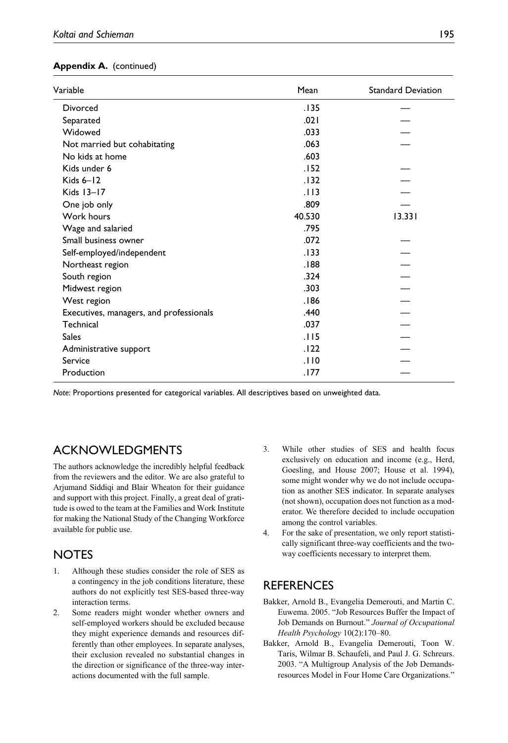#### **Appendix A.** (continued)

| Variable                                | Mean   | <b>Standard Deviation</b> |
|-----------------------------------------|--------|---------------------------|
| Divorced                                | .135   |                           |
| Separated                               | .021   |                           |
| Widowed                                 | .033   |                           |
| Not married but cohabitating            | .063   |                           |
| No kids at home                         | .603   |                           |
| Kids under 6                            | .152   |                           |
| Kids $6 - 12$                           | .132   |                           |
| Kids 13-17                              | .113   |                           |
| One job only                            | .809   |                           |
| Work hours                              | 40.530 | 13.331                    |
| Wage and salaried                       | .795   |                           |
| Small business owner                    | .072   |                           |
| Self-employed/independent               | .133   |                           |
| Northeast region                        | .188   |                           |
| South region                            | .324   |                           |
| Midwest region                          | .303   |                           |
| West region                             | .186   |                           |
| Executives, managers, and professionals | .440   |                           |
| Technical                               | .037   |                           |
| <b>Sales</b>                            | .115   |                           |
| Administrative support                  | .122   |                           |
| Service                                 | .110   |                           |
| Production                              | .177   |                           |
|                                         |        |                           |

*Note*: Proportions presented for categorical variables. All descriptives based on unweighted data.

## **ACKNOWLEDGMENTS**

The authors acknowledge the incredibly helpful feedback from the reviewers and the editor. We are also grateful to Arjumand Siddiqi and Blair Wheaton for their guidance and support with this project. Finally, a great deal of gratitude is owed to the team at the Families and Work Institute for making the National Study of the Changing Workforce available for public use.

## **NOTES**

- 1. Although these studies consider the role of SES as a contingency in the job conditions literature, these authors do not explicitly test SES-based three-way interaction terms.
- 2. Some readers might wonder whether owners and self-employed workers should be excluded because they might experience demands and resources differently than other employees. In separate analyses, their exclusion revealed no substantial changes in the direction or significance of the three-way interactions documented with the full sample.
- 3. While other studies of SES and health focus exclusively on education and income (e.g., Herd, Goesling, and House 2007; House et al. 1994), some might wonder why we do not include occupation as another SES indicator. In separate analyses (not shown), occupation does not function as a moderator. We therefore decided to include occupation among the control variables.
- 4. For the sake of presentation, we only report statistically significant three-way coefficients and the twoway coefficients necessary to interpret them.

## **REFERENCES**

- Bakker, Arnold B., Evangelia Demerouti, and Martin C. Euwema. 2005. "Job Resources Buffer the Impact of Job Demands on Burnout." *Journal of Occupational Health Psychology* 10(2):170–80.
- Bakker, Arnold B., Evangelia Demerouti, Toon W. Taris, Wilmar B. Schaufeli, and Paul J. G. Schreurs. 2003. "A Multigroup Analysis of the Job Demandsresources Model in Four Home Care Organizations."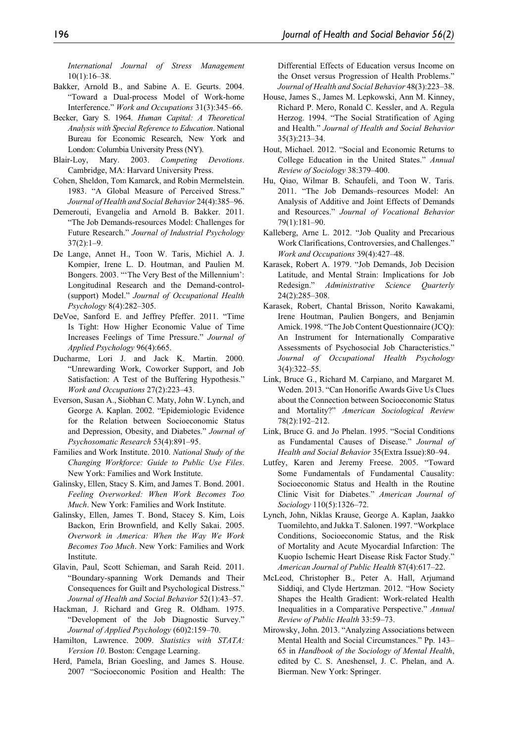*International Journal of Stress Management* 10(1):16–38.

- Bakker, Arnold B., and Sabine A. E. Geurts. 2004. "Toward a Dual-process Model of Work-home Interference." *Work and Occupations* 31(3):345–66.
- Becker, Gary S. 1964. *Human Capital: A Theoretical Analysis with Special Reference to Education*. National Bureau for Economic Research, New York and London: Columbia University Press (NY).
- Blair-Loy, Mary. 2003. *Competing Devotions*. Cambridge, MA: Harvard University Press.
- Cohen, Sheldon, Tom Kamarck, and Robin Mermelstein. 1983. "A Global Measure of Perceived Stress." *Journal of Health and Social Behavior* 24(4):385–96.
- Demerouti, Evangelia and Arnold B. Bakker. 2011. "The Job Demands-resources Model: Challenges for Future Research." *Journal of Industrial Psychology* 37(2):1–9.
- De Lange, Annet H., Toon W. Taris, Michiel A. J. Kompier, Irene L. D. Houtman, and Paulien M. Bongers. 2003. "'The Very Best of the Millennium': Longitudinal Research and the Demand-control- (support) Model." *Journal of Occupational Health Psychology* 8(4):282–305.
- DeVoe, Sanford E. and Jeffrey Pfeffer. 2011. "Time Is Tight: How Higher Economic Value of Time Increases Feelings of Time Pressure." *Journal of Applied Psychology* 96(4):665.
- Ducharme, Lori J. and Jack K. Martin. 2000. "Unrewarding Work, Coworker Support, and Job Satisfaction: A Test of the Buffering Hypothesis." *Work and Occupations* 27(2):223–43.
- Everson, Susan A., Siobhan C. Maty, John W. Lynch, and George A. Kaplan. 2002. "Epidemiologic Evidence for the Relation between Socioeconomic Status and Depression, Obesity, and Diabetes." *Journal of Psychosomatic Research* 53(4):891–95.
- Families and Work Institute. 2010. *National Study of the Changing Workforce: Guide to Public Use Files*. New York: Families and Work Institute.
- Galinsky, Ellen, Stacy S. Kim, and James T. Bond. 2001. *Feeling Overworked: When Work Becomes Too Much*. New York: Families and Work Institute.
- Galinsky, Ellen, James T. Bond, Stacey S. Kim, Lois Backon, Erin Brownfield, and Kelly Sakai. 2005. *Overwork in America: When the Way We Work Becomes Too Much*. New York: Families and Work Institute.
- Glavin, Paul, Scott Schieman, and Sarah Reid. 2011. "Boundary-spanning Work Demands and Their Consequences for Guilt and Psychological Distress." *Journal of Health and Social Behavior* 52(1):43–57.
- Hackman, J. Richard and Greg R. Oldham. 1975. "Development of the Job Diagnostic Survey." *Journal of Applied Psychology* (60)2:159–70.
- Hamilton, Lawrence. 2009. *Statistics with STATA: Version 10*. Boston: Cengage Learning.
- Herd, Pamela, Brian Goesling, and James S. House. 2007 "Socioeconomic Position and Health: The

Differential Effects of Education versus Income on the Onset versus Progression of Health Problems." *Journal of Health and Social Behavior* 48(3):223–38.

- House, James S., James M. Lepkowski, Ann M. Kinney, Richard P. Mero, Ronald C. Kessler, and A. Regula Herzog. 1994. "The Social Stratification of Aging and Health." *Journal of Health and Social Behavior* 35(3):213–34.
- Hout, Michael. 2012. "Social and Economic Returns to College Education in the United States." *Annual Review of Sociology* 38:379–400.
- Hu, Qiao, Wilmar B. Schaufeli, and Toon W. Taris. 2011. "The Job Demands–resources Model: An Analysis of Additive and Joint Effects of Demands and Resources." *Journal of Vocational Behavior* 79(1):181–90.
- Kalleberg, Arne L. 2012. "Job Quality and Precarious Work Clarifications, Controversies, and Challenges." *Work and Occupations* 39(4):427–48.
- Karasek, Robert A. 1979. "Job Demands, Job Decision Latitude, and Mental Strain: Implications for Job Redesign." *Administrative Science Quarterly* 24(2):285–308.
- Karasek, Robert, Chantal Brisson, Norito Kawakami, Irene Houtman, Paulien Bongers, and Benjamin Amick. 1998. "The Job Content Questionnaire (JCQ): An Instrument for Internationally Comparative Assessments of Psychosocial Job Characteristics." *Journal of Occupational Health Psychology* 3(4):322–55.
- Link, Bruce G., Richard M. Carpiano, and Margaret M. Weden. 2013. "Can Honorific Awards Give Us Clues about the Connection between Socioeconomic Status and Mortality?" *American Sociological Review* 78(2):192–212.
- Link, Bruce G. and Jo Phelan. 1995. "Social Conditions as Fundamental Causes of Disease." *Journal of Health and Social Behavior* 35(Extra Issue):80–94.
- Lutfey, Karen and Jeremy Freese. 2005. "Toward Some Fundamentals of Fundamental Causality: Socioeconomic Status and Health in the Routine Clinic Visit for Diabetes." *American Journal of Sociology* 110(5):1326–72.
- Lynch, John, Niklas Krause, George A. Kaplan, Jaakko Tuomilehto, and Jukka T. Salonen. 1997. "Workplace Conditions, Socioeconomic Status, and the Risk of Mortality and Acute Myocardial Infarction: The Kuopio Ischemic Heart Disease Risk Factor Study." *American Journal of Public Health* 87(4):617–22.
- McLeod, Christopher B., Peter A. Hall, Arjumand Siddiqi, and Clyde Hertzman. 2012. "How Society Shapes the Health Gradient: Work-related Health Inequalities in a Comparative Perspective." *Annual Review of Public Health* 33:59–73.
- Mirowsky, John. 2013. "Analyzing Associations between Mental Health and Social Circumstances." Pp. 143– 65 in *Handbook of the Sociology of Mental Health*, edited by C. S. Aneshensel, J. C. Phelan, and A. Bierman. New York: Springer.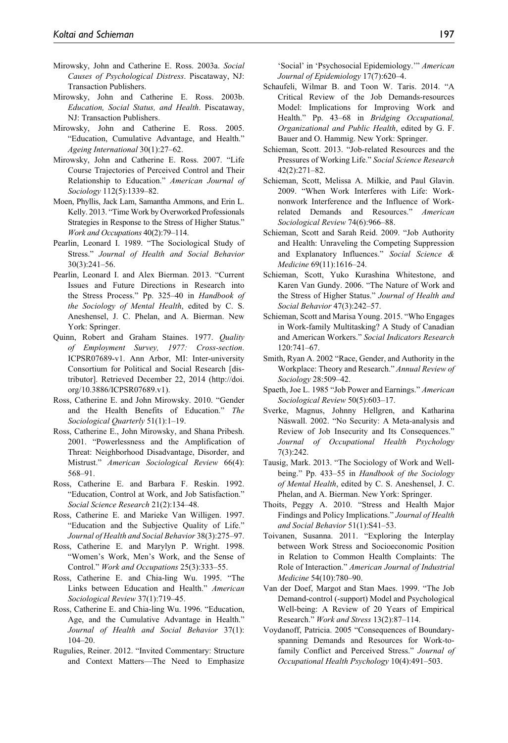- Mirowsky, John and Catherine E. Ross. 2003a. *Social Causes of Psychological Distress*. Piscataway, NJ: Transaction Publishers.
- Mirowsky, John and Catherine E. Ross. 2003b. *Education, Social Status, and Health*. Piscataway, NJ: Transaction Publishers.
- Mirowsky, John and Catherine E. Ross. 2005. "Education, Cumulative Advantage, and Health." *Ageing International* 30(1):27–62.
- Mirowsky, John and Catherine E. Ross. 2007. "Life Course Trajectories of Perceived Control and Their Relationship to Education." *American Journal of Sociology* 112(5):1339–82.
- Moen, Phyllis, Jack Lam, Samantha Ammons, and Erin L. Kelly. 2013. "Time Work by Overworked Professionals Strategies in Response to the Stress of Higher Status." *Work and Occupations* 40(2):79–114.
- Pearlin, Leonard I. 1989. "The Sociological Study of Stress." *Journal of Health and Social Behavior* 30(3):241–56.
- Pearlin, Leonard I. and Alex Bierman. 2013. "Current Issues and Future Directions in Research into the Stress Process." Pp. 325–40 in *Handbook of the Sociology of Mental Health*, edited by C. S. Aneshensel, J. C. Phelan, and A. Bierman. New York: Springer.
- Quinn, Robert and Graham Staines. 1977. *Quality of Employment Survey, 1977: Cross-section*. ICPSR07689-v1. Ann Arbor, MI: Inter-university Consortium for Political and Social Research [distributor]. Retrieved December 22, 2014 (http://doi. org/10.3886/ICPSR07689.v1).
- Ross, Catherine E. and John Mirowsky. 2010. "Gender and the Health Benefits of Education." *The Sociological Quarterly* 51(1):1–19.
- Ross, Catherine E., John Mirowsky, and Shana Pribesh. 2001. "Powerlessness and the Amplification of Threat: Neighborhood Disadvantage, Disorder, and Mistrust." *American Sociological Review* 66(4): 568–91.
- Ross, Catherine E. and Barbara F. Reskin. 1992. "Education, Control at Work, and Job Satisfaction." *Social Science Research* 21(2):134–48.
- Ross, Catherine E. and Marieke Van Willigen. 1997. "Education and the Subjective Quality of Life." *Journal of Health and Social Behavior* 38(3):275–97.
- Ross, Catherine E. and Marylyn P. Wright. 1998. "Women's Work, Men's Work, and the Sense of Control." *Work and Occupations* 25(3):333–55.
- Ross, Catherine E. and Chia-ling Wu. 1995. "The Links between Education and Health." *American Sociological Review* 37(1):719–45.
- Ross, Catherine E. and Chia-ling Wu. 1996. "Education, Age, and the Cumulative Advantage in Health." *Journal of Health and Social Behavior* 37(1): 104–20.
- Rugulies, Reiner. 2012. "Invited Commentary: Structure and Context Matters—The Need to Emphasize

'Social' in 'Psychosocial Epidemiology.'" *American Journal of Epidemiology* 17(7):620–4.

- Schaufeli, Wilmar B. and Toon W. Taris. 2014. "A Critical Review of the Job Demands-resources Model: Implications for Improving Work and Health." Pp. 43–68 in *Bridging Occupational, Organizational and Public Health*, edited by G. F. Bauer and O. Hammig. New York: Springer.
- Schieman, Scott. 2013. "Job-related Resources and the Pressures of Working Life." *Social Science Research* 42(2):271–82.
- Schieman, Scott, Melissa A. Milkie, and Paul Glavin. 2009. "When Work Interferes with Life: Worknonwork Interference and the Influence of Workrelated Demands and Resources." *American Sociological Review* 74(6):966–88.
- Schieman, Scott and Sarah Reid. 2009. "Job Authority and Health: Unraveling the Competing Suppression and Explanatory Influences." *Social Science & Medicine* 69(11):1616–24.
- Schieman, Scott, Yuko Kurashina Whitestone, and Karen Van Gundy. 2006. "The Nature of Work and the Stress of Higher Status." *Journal of Health and Social Behavior* 47(3):242–57.
- Schieman, Scott and Marisa Young. 2015. "Who Engages in Work-family Multitasking? A Study of Canadian and American Workers." *Social Indicators Research* 120:741–67.
- Smith, Ryan A. 2002 "Race, Gender, and Authority in the Workplace: Theory and Research." *Annual Review of Sociology* 28:509–42.
- Spaeth, Joe L. 1985 "Job Power and Earnings." *American Sociological Review* 50(5):603–17.
- Sverke, Magnus, Johnny Hellgren, and Katharina Näswall. 2002. "No Security: A Meta-analysis and Review of Job Insecurity and Its Consequences." *Journal of Occupational Health Psychology* 7(3):242.
- Tausig, Mark. 2013. "The Sociology of Work and Wellbeing." Pp. 433–55 in *Handbook of the Sociology of Mental Health*, edited by C. S. Aneshensel, J. C. Phelan, and A. Bierman. New York: Springer.
- Thoits, Peggy A. 2010. "Stress and Health Major Findings and Policy Implications." *Journal of Health and Social Behavior* 51(1):S41–53.
- Toivanen, Susanna. 2011. "Exploring the Interplay between Work Stress and Socioeconomic Position in Relation to Common Health Complaints: The Role of Interaction." *American Journal of Industrial Medicine* 54(10):780–90.
- Van der Doef, Margot and Stan Maes. 1999. "The Job Demand-control (-support) Model and Psychological Well-being: A Review of 20 Years of Empirical Research." *Work and Stress* 13(2):87–114.
- Voydanoff, Patricia. 2005 "Consequences of Boundaryspanning Demands and Resources for Work-tofamily Conflict and Perceived Stress." *Journal of Occupational Health Psychology* 10(4):491–503.